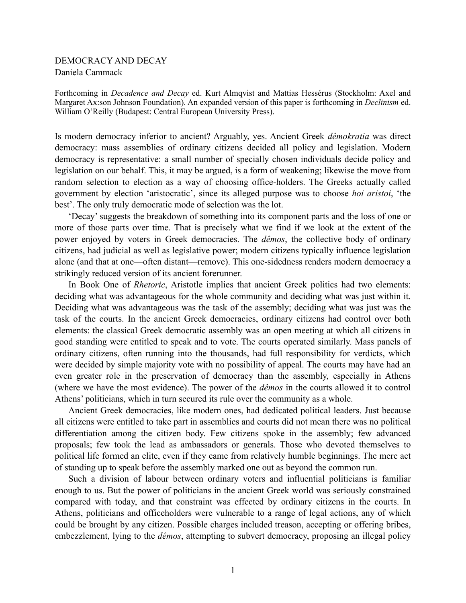## DEMOCRACY AND DECAY Daniela Cammack

Forthcoming in *Decadence and Decay* ed. Kurt Almqvist and Mattias Hessérus (Stockholm: Axel and Margaret Ax:son Johnson Foundation). An expanded version of this paper is forthcoming in *Declinism* ed. William O'Reilly (Budapest: Central European University Press).

Is modern democracy inferior to ancient? Arguably, yes. Ancient Greek *dêmokratia* was direct democracy: mass assemblies of ordinary citizens decided all policy and legislation. Modern democracy is representative: a small number of specially chosen individuals decide policy and legislation on our behalf. This, it may be argued, is a form of weakening; likewise the move from random selection to election as a way of choosing office-holders. The Greeks actually called government by election 'aristocratic', since its alleged purpose was to choose *hoi aristoi*, 'the best'. The only truly democratic mode of selection was the lot.

 'Decay' suggests the breakdown of something into its component parts and the loss of one or more of those parts over time. That is precisely what we find if we look at the extent of the power enjoyed by voters in Greek democracies. The *dêmos*, the collective body of ordinary citizens, had judicial as well as legislative power; modern citizens typically influence legislation alone (and that at one—often distant—remove). This one-sidedness renders modern democracy a strikingly reduced version of its ancient forerunner.

 In Book One of *Rhetoric*, Aristotle implies that ancient Greek politics had two elements: deciding what was advantageous for the whole community and deciding what was just within it. Deciding what was advantageous was the task of the assembly; deciding what was just was the task of the courts. In the ancient Greek democracies, ordinary citizens had control over both elements: the classical Greek democratic assembly was an open meeting at which all citizens in good standing were entitled to speak and to vote. The courts operated similarly. Mass panels of ordinary citizens, often running into the thousands, had full responsibility for verdicts, which were decided by simple majority vote with no possibility of appeal. The courts may have had an even greater role in the preservation of democracy than the assembly, especially in Athens (where we have the most evidence). The power of the *dêmos* in the courts allowed it to control Athens' politicians, which in turn secured its rule over the community as a whole.

Ancient Greek democracies, like modern ones, had dedicated political leaders. Just because all citizens were entitled to take part in assemblies and courts did not mean there was no political differentiation among the citizen body. Few citizens spoke in the assembly; few advanced proposals; few took the lead as ambassadors or generals. Those who devoted themselves to political life formed an elite, even if they came from relatively humble beginnings. The mere act of standing up to speak before the assembly marked one out as beyond the common run.

 Such a division of labour between ordinary voters and influential politicians is familiar enough to us. But the power of politicians in the ancient Greek world was seriously constrained compared with today, and that constraint was effected by ordinary citizens in the courts. In Athens, politicians and officeholders were vulnerable to a range of legal actions, any of which could be brought by any citizen. Possible charges included treason, accepting or offering bribes, embezzlement, lying to the *dêmos*, attempting to subvert democracy, proposing an illegal policy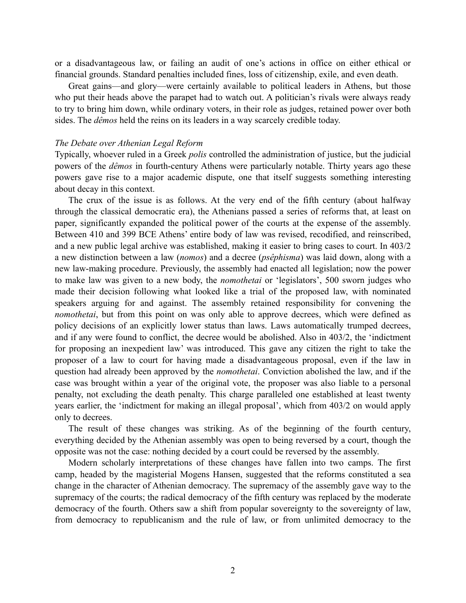or a disadvantageous law, or failing an audit of one's actions in office on either ethical or financial grounds. Standard penalties included fines, loss of citizenship, exile, and even death.

 Great gains—and glory—were certainly available to political leaders in Athens, but those who put their heads above the parapet had to watch out. A politician's rivals were always ready to try to bring him down, while ordinary voters, in their role as judges, retained power over both sides. The *dêmos* held the reins on its leaders in a way scarcely credible today.

## *The Debate over Athenian Legal Reform*

Typically, whoever ruled in a Greek *polis* controlled the administration of justice, but the judicial powers of the *dêmos* in fourth-century Athens were particularly notable. Thirty years ago these powers gave rise to a major academic dispute, one that itself suggests something interesting about decay in this context.

 The crux of the issue is as follows. At the very end of the fifth century (about halfway through the classical democratic era), the Athenians passed a series of reforms that, at least on paper, significantly expanded the political power of the courts at the expense of the assembly. Between 410 and 399 BCE Athens' entire body of law was revised, recodified, and reinscribed, and a new public legal archive was established, making it easier to bring cases to court. In 403/2 a new distinction between a law (*nomos*) and a decree (*psêphisma*) was laid down, along with a new law-making procedure. Previously, the assembly had enacted all legislation; now the power to make law was given to a new body, the *nomothetai* or 'legislators', 500 sworn judges who made their decision following what looked like a trial of the proposed law, with nominated speakers arguing for and against. The assembly retained responsibility for convening the *nomothetai*, but from this point on was only able to approve decrees, which were defined as policy decisions of an explicitly lower status than laws. Laws automatically trumped decrees, and if any were found to conflict, the decree would be abolished. Also in 403/2, the 'indictment for proposing an inexpedient law' was introduced. This gave any citizen the right to take the proposer of a law to court for having made a disadvantageous proposal, even if the law in question had already been approved by the *nomothetai*. Conviction abolished the law, and if the case was brought within a year of the original vote, the proposer was also liable to a personal penalty, not excluding the death penalty. This charge paralleled one established at least twenty years earlier, the 'indictment for making an illegal proposal', which from 403/2 on would apply only to decrees.

The result of these changes was striking. As of the beginning of the fourth century, everything decided by the Athenian assembly was open to being reversed by a court, though the opposite was not the case: nothing decided by a court could be reversed by the assembly.

 Modern scholarly interpretations of these changes have fallen into two camps. The first camp, headed by the magisterial Mogens Hansen, suggested that the reforms constituted a sea change in the character of Athenian democracy. The supremacy of the assembly gave way to the supremacy of the courts; the radical democracy of the fifth century was replaced by the moderate democracy of the fourth. Others saw a shift from popular sovereignty to the sovereignty of law, from democracy to republicanism and the rule of law, or from unlimited democracy to the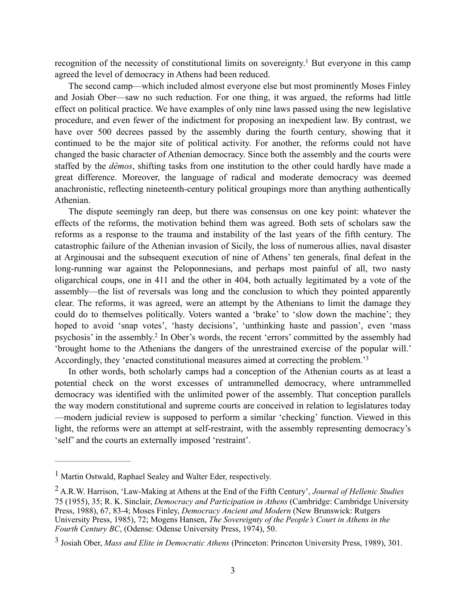recognition of the necessity of constitutional limits on sovereignty.<sup>1</sup> But everyone in this camp agreed the level of democracy in Athens had been reduced.

 The second camp—which included almost everyone else but most prominently Moses Finley and Josiah Ober—saw no such reduction. For one thing, it was argued, the reforms had little effect on political practice. We have examples of only nine laws passed using the new legislative procedure, and even fewer of the indictment for proposing an inexpedient law. By contrast, we have over 500 decrees passed by the assembly during the fourth century, showing that it continued to be the major site of political activity. For another, the reforms could not have changed the basic character of Athenian democracy. Since both the assembly and the courts were staffed by the *dêmos*, shifting tasks from one institution to the other could hardly have made a great difference. Moreover, the language of radical and moderate democracy was deemed anachronistic, reflecting nineteenth-century political groupings more than anything authentically Athenian.

 The dispute seemingly ran deep, but there was consensus on one key point: whatever the effects of the reforms, the motivation behind them was agreed. Both sets of scholars saw the reforms as a response to the trauma and instability of the last years of the fifth century. The catastrophic failure of the Athenian invasion of Sicily, the loss of numerous allies, naval disaster at Arginousai and the subsequent execution of nine of Athens' ten generals, final defeat in the long-running war against the Peloponnesians, and perhaps most painful of all, two nasty oligarchical coups, one in 411 and the other in 404, both actually legitimated by a vote of the assembly—the list of reversals was long and the conclusion to which they pointed apparently clear. The reforms, it was agreed, were an attempt by the Athenians to limit the damage they could do to themselves politically. Voters wanted a 'brake' to 'slow down the machine'; they hoped to avoid 'snap votes', 'hasty decisions', 'unthinking haste and passion', even 'mass psychosis' in the assembly.<sup>2</sup> In Ober's words, the recent 'errors' committed by the assembly had 'brought home to the Athenians the dangers of the unrestrained exercise of the popular will.' Accordingly, they 'enacted constitutional measures aimed at correcting the problem.<sup>'3</sup>

In other words, both scholarly camps had a conception of the Athenian courts as at least a potential check on the worst excesses of untrammelled democracy, where untrammelled democracy was identified with the unlimited power of the assembly. That conception parallels the way modern constitutional and supreme courts are conceived in relation to legislatures today —modern judicial review is supposed to perform a similar 'checking' function. Viewed in this light, the reforms were an attempt at self-restraint, with the assembly representing democracy's 'self' and the courts an externally imposed 'restraint'.

<sup>&</sup>lt;sup>1</sup> Martin Ostwald, Raphael Sealey and Walter Eder, respectively.

A.R.W. Harrison, 'Law-Making at Athens at the End of the Fifth Century', *Journal of Hellenic Studies* <sup>2</sup> 75 (1955), 35; R. K. Sinclair, *Democracy and Participation in Athens* (Cambridge: Cambridge University Press, 1988), 67, 83-4; Moses Finley, *Democracy Ancient and Modern* (New Brunswick: Rutgers University Press, 1985), 72; Mogens Hansen, *The Sovereignty of the People's Court in Athens in the Fourth Century BC*, (Odense: Odense University Press, 1974), 50.

<sup>&</sup>lt;sup>3</sup> Josiah Ober, *Mass and Elite in Democratic Athens* (Princeton: Princeton University Press, 1989), 301.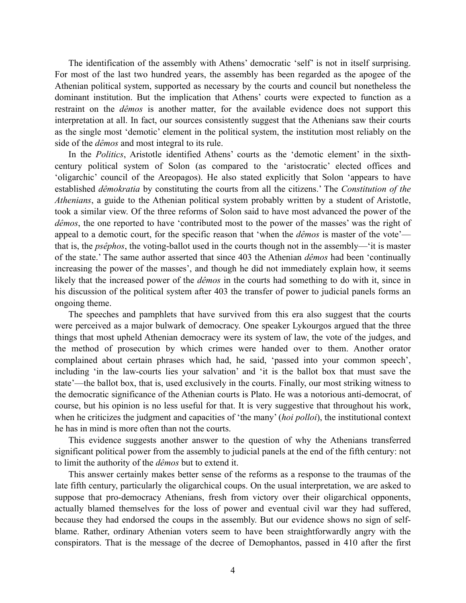The identification of the assembly with Athens' democratic 'self' is not in itself surprising. For most of the last two hundred years, the assembly has been regarded as the apogee of the Athenian political system, supported as necessary by the courts and council but nonetheless the dominant institution. But the implication that Athens' courts were expected to function as a restraint on the *dêmos* is another matter, for the available evidence does not support this interpretation at all. In fact, our sources consistently suggest that the Athenians saw their courts as the single most 'demotic' element in the political system, the institution most reliably on the side of the *dêmos* and most integral to its rule.

 In the *Politics*, Aristotle identified Athens' courts as the 'demotic element' in the sixthcentury political system of Solon (as compared to the 'aristocratic' elected offices and 'oligarchic' council of the Areopagos). He also stated explicitly that Solon 'appears to have established *dêmokratia* by constituting the courts from all the citizens.' The *Constitution of the Athenians*, a guide to the Athenian political system probably written by a student of Aristotle, took a similar view. Of the three reforms of Solon said to have most advanced the power of the *dêmos*, the one reported to have 'contributed most to the power of the masses' was the right of appeal to a demotic court, for the specific reason that 'when the *dêmos* is master of the vote' that is, the *psêphos*, the voting-ballot used in the courts though not in the assembly—'it is master of the state.' The same author asserted that since 403 the Athenian *dêmos* had been 'continually increasing the power of the masses', and though he did not immediately explain how, it seems likely that the increased power of the *dêmos* in the courts had something to do with it, since in his discussion of the political system after 403 the transfer of power to judicial panels forms an ongoing theme.

 The speeches and pamphlets that have survived from this era also suggest that the courts were perceived as a major bulwark of democracy. One speaker Lykourgos argued that the three things that most upheld Athenian democracy were its system of law, the vote of the judges, and the method of prosecution by which crimes were handed over to them. Another orator complained about certain phrases which had, he said, 'passed into your common speech', including 'in the law-courts lies your salvation' and 'it is the ballot box that must save the state'—the ballot box, that is, used exclusively in the courts. Finally, our most striking witness to the democratic significance of the Athenian courts is Plato. He was a notorious anti-democrat, of course, but his opinion is no less useful for that. It is very suggestive that throughout his work, when he criticizes the judgment and capacities of 'the many' (*hoi polloi*), the institutional context he has in mind is more often than not the courts.

 This evidence suggests another answer to the question of why the Athenians transferred significant political power from the assembly to judicial panels at the end of the fifth century: not to limit the authority of the *dêmos* but to extend it.

This answer certainly makes better sense of the reforms as a response to the traumas of the late fifth century, particularly the oligarchical coups. On the usual interpretation, we are asked to suppose that pro-democracy Athenians, fresh from victory over their oligarchical opponents, actually blamed themselves for the loss of power and eventual civil war they had suffered, because they had endorsed the coups in the assembly. But our evidence shows no sign of selfblame. Rather, ordinary Athenian voters seem to have been straightforwardly angry with the conspirators. That is the message of the decree of Demophantos, passed in 410 after the first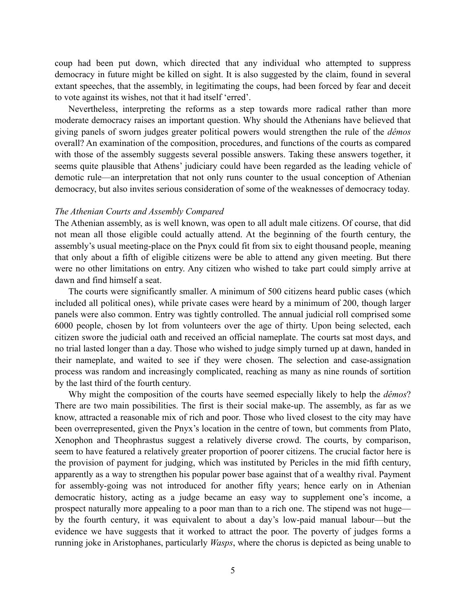coup had been put down, which directed that any individual who attempted to suppress democracy in future might be killed on sight. It is also suggested by the claim, found in several extant speeches, that the assembly, in legitimating the coups, had been forced by fear and deceit to vote against its wishes, not that it had itself 'erred'.

 Nevertheless, interpreting the reforms as a step towards more radical rather than more moderate democracy raises an important question. Why should the Athenians have believed that giving panels of sworn judges greater political powers would strengthen the rule of the *dêmos* overall? An examination of the composition, procedures, and functions of the courts as compared with those of the assembly suggests several possible answers. Taking these answers together, it seems quite plausible that Athens' judiciary could have been regarded as the leading vehicle of demotic rule—an interpretation that not only runs counter to the usual conception of Athenian democracy, but also invites serious consideration of some of the weaknesses of democracy today.

## *The Athenian Courts and Assembly Compared*

The Athenian assembly, as is well known, was open to all adult male citizens. Of course, that did not mean all those eligible could actually attend. At the beginning of the fourth century, the assembly's usual meeting-place on the Pnyx could fit from six to eight thousand people, meaning that only about a fifth of eligible citizens were be able to attend any given meeting. But there were no other limitations on entry. Any citizen who wished to take part could simply arrive at dawn and find himself a seat.

The courts were significantly smaller. A minimum of 500 citizens heard public cases (which included all political ones), while private cases were heard by a minimum of 200, though larger panels were also common. Entry was tightly controlled. The annual judicial roll comprised some 6000 people, chosen by lot from volunteers over the age of thirty. Upon being selected, each citizen swore the judicial oath and received an official nameplate. The courts sat most days, and no trial lasted longer than a day. Those who wished to judge simply turned up at dawn, handed in their nameplate, and waited to see if they were chosen. The selection and case-assignation process was random and increasingly complicated, reaching as many as nine rounds of sortition by the last third of the fourth century.

 Why might the composition of the courts have seemed especially likely to help the *dêmos*? There are two main possibilities. The first is their social make-up. The assembly, as far as we know, attracted a reasonable mix of rich and poor. Those who lived closest to the city may have been overrepresented, given the Pnyx's location in the centre of town, but comments from Plato, Xenophon and Theophrastus suggest a relatively diverse crowd. The courts, by comparison, seem to have featured a relatively greater proportion of poorer citizens. The crucial factor here is the provision of payment for judging, which was instituted by Pericles in the mid fifth century, apparently as a way to strengthen his popular power base against that of a wealthy rival. Payment for assembly-going was not introduced for another fifty years; hence early on in Athenian democratic history, acting as a judge became an easy way to supplement one's income, a prospect naturally more appealing to a poor man than to a rich one. The stipend was not huge by the fourth century, it was equivalent to about a day's low-paid manual labour—but the evidence we have suggests that it worked to attract the poor. The poverty of judges forms a running joke in Aristophanes, particularly *Wasps*, where the chorus is depicted as being unable to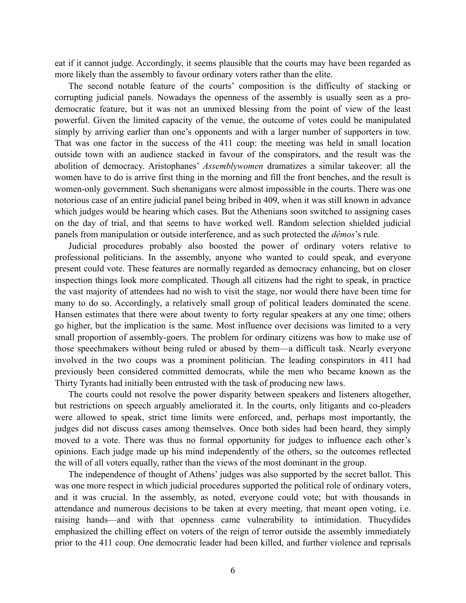eat if it cannot judge. Accordingly, it seems plausible that the courts may have been regarded as more likely than the assembly to favour ordinary voters rather than the elite.

 The second notable feature of the courts' composition is the difficulty of stacking or corrupting judicial panels. Nowadays the openness of the assembly is usually seen as a prodemocratic feature, but it was not an unmixed blessing from the point of view of the least powerful. Given the limited capacity of the venue, the outcome of votes could be manipulated simply by arriving earlier than one's opponents and with a larger number of supporters in tow. That was one factor in the success of the 411 coup: the meeting was held in small location outside town with an audience stacked in favour of the conspirators, and the result was the abolition of democracy. Aristophanes' *Assemblywomen* dramatizes a similar takeover: all the women have to do is arrive first thing in the morning and fill the front benches, and the result is women-only government. Such shenanigans were almost impossible in the courts. There was one notorious case of an entire judicial panel being bribed in 409, when it was still known in advance which judges would be hearing which cases. But the Athenians soon switched to assigning cases on the day of trial, and that seems to have worked well. Random selection shielded judicial panels from manipulation or outside interference, and as such protected the *dêmos*'s rule.

Judicial procedures probably also boosted the power of ordinary voters relative to professional politicians. In the assembly, anyone who wanted to could speak, and everyone present could vote. These features are normally regarded as democracy enhancing, but on closer inspection things look more complicated. Though all citizens had the right to speak, in practice the vast majority of attendees had no wish to visit the stage, nor would there have been time for many to do so. Accordingly, a relatively small group of political leaders dominated the scene. Hansen estimates that there were about twenty to forty regular speakers at any one time; others go higher, but the implication is the same. Most influence over decisions was limited to a very small proportion of assembly-goers. The problem for ordinary citizens was how to make use of those speechmakers without being ruled or abused by them—a difficult task. Nearly everyone involved in the two coups was a prominent politician. The leading conspirators in 411 had previously been considered committed democrats, while the men who became known as the Thirty Tyrants had initially been entrusted with the task of producing new laws.

The courts could not resolve the power disparity between speakers and listeners altogether, but restrictions on speech arguably ameliorated it. In the courts, only litigants and co-pleaders were allowed to speak, strict time limits were enforced, and, perhaps most importantly, the judges did not discuss cases among themselves. Once both sides had been heard, they simply moved to a vote. There was thus no formal opportunity for judges to influence each other's opinions. Each judge made up his mind independently of the others, so the outcomes reflected the will of all voters equally, rather than the views of the most dominant in the group.

The independence of thought of Athens' judges was also supported by the secret ballot. This was one more respect in which judicial procedures supported the political role of ordinary voters, and it was crucial. In the assembly, as noted, everyone could vote; but with thousands in attendance and numerous decisions to be taken at every meeting, that meant open voting, i.e. raising hands—and with that openness came vulnerability to intimidation. Thucydides emphasized the chilling effect on voters of the reign of terror outside the assembly immediately prior to the 411 coup. One democratic leader had been killed, and further violence and reprisals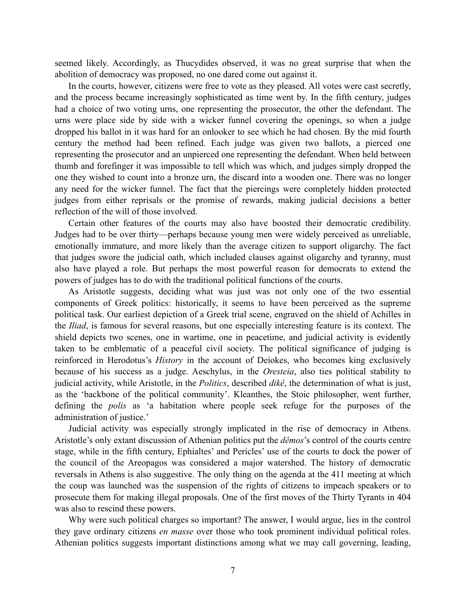seemed likely. Accordingly, as Thucydides observed, it was no great surprise that when the abolition of democracy was proposed, no one dared come out against it.

In the courts, however, citizens were free to vote as they pleased. All votes were cast secretly, and the process became increasingly sophisticated as time went by. In the fifth century, judges had a choice of two voting urns, one representing the prosecutor, the other the defendant. The urns were place side by side with a wicker funnel covering the openings, so when a judge dropped his ballot in it was hard for an onlooker to see which he had chosen. By the mid fourth century the method had been refined. Each judge was given two ballots, a pierced one representing the prosecutor and an unpierced one representing the defendant. When held between thumb and forefinger it was impossible to tell which was which, and judges simply dropped the one they wished to count into a bronze urn, the discard into a wooden one. There was no longer any need for the wicker funnel. The fact that the piercings were completely hidden protected judges from either reprisals or the promise of rewards, making judicial decisions a better reflection of the will of those involved.

Certain other features of the courts may also have boosted their democratic credibility. Judges had to be over thirty—perhaps because young men were widely perceived as unreliable, emotionally immature, and more likely than the average citizen to support oligarchy. The fact that judges swore the judicial oath, which included clauses against oligarchy and tyranny, must also have played a role. But perhaps the most powerful reason for democrats to extend the powers of judges has to do with the traditional political functions of the courts.

 As Aristotle suggests, deciding what was just was not only one of the two essential components of Greek politics: historically, it seems to have been perceived as the supreme political task. Our earliest depiction of a Greek trial scene, engraved on the shield of Achilles in the *Iliad*, is famous for several reasons, but one especially interesting feature is its context. The shield depicts two scenes, one in wartime, one in peacetime, and judicial activity is evidently taken to be emblematic of a peaceful civil society. The political significance of judging is reinforced in Herodotus's *History* in the account of Deiokes, who becomes king exclusively because of his success as a judge. Aeschylus, in the *Oresteia*, also ties political stability to judicial activity, while Aristotle, in the *Politics*, described *dikê*, the determination of what is just, as the 'backbone of the political community'. Kleanthes, the Stoic philosopher, went further, defining the *polis* as 'a habitation where people seek refuge for the purposes of the administration of justice.'

 Judicial activity was especially strongly implicated in the rise of democracy in Athens. Aristotle's only extant discussion of Athenian politics put the *dêmos*'s control of the courts centre stage, while in the fifth century, Ephialtes' and Pericles' use of the courts to dock the power of the council of the Areopagos was considered a major watershed. The history of democratic reversals in Athens is also suggestive. The only thing on the agenda at the 411 meeting at which the coup was launched was the suspension of the rights of citizens to impeach speakers or to prosecute them for making illegal proposals. One of the first moves of the Thirty Tyrants in 404 was also to rescind these powers.

 Why were such political charges so important? The answer, I would argue, lies in the control they gave ordinary citizens *en masse* over those who took prominent individual political roles. Athenian politics suggests important distinctions among what we may call governing, leading,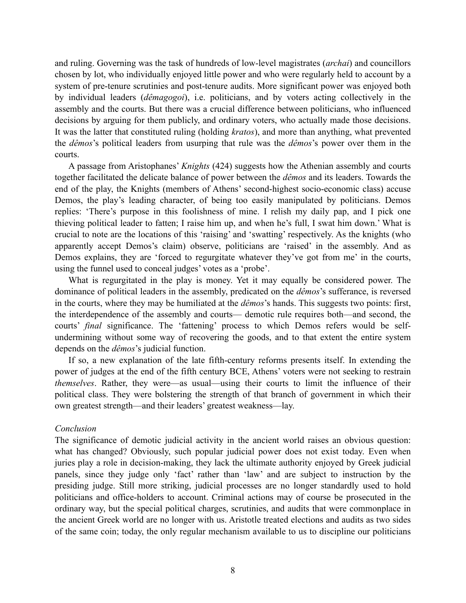and ruling. Governing was the task of hundreds of low-level magistrates (*archai*) and councillors chosen by lot, who individually enjoyed little power and who were regularly held to account by a system of pre-tenure scrutinies and post-tenure audits. More significant power was enjoyed both by individual leaders (*dêmagogoi*), i.e. politicians, and by voters acting collectively in the assembly and the courts. But there was a crucial difference between politicians, who influenced decisions by arguing for them publicly, and ordinary voters, who actually made those decisions. It was the latter that constituted ruling (holding *kratos*), and more than anything, what prevented the *dêmos*'s political leaders from usurping that rule was the *dêmos*'s power over them in the courts.

 A passage from Aristophanes' *Knights* (424) suggests how the Athenian assembly and courts together facilitated the delicate balance of power between the *dêmos* and its leaders. Towards the end of the play, the Knights (members of Athens' second-highest socio-economic class) accuse Demos, the play's leading character, of being too easily manipulated by politicians. Demos replies: 'There's purpose in this foolishness of mine. I relish my daily pap, and I pick one thieving political leader to fatten; I raise him up, and when he's full, I swat him down.' What is crucial to note are the locations of this 'raising' and 'swatting' respectively. As the knights (who apparently accept Demos's claim) observe, politicians are 'raised' in the assembly. And as Demos explains, they are 'forced to regurgitate whatever they've got from me' in the courts, using the funnel used to conceal judges' votes as a 'probe'.

 What is regurgitated in the play is money. Yet it may equally be considered power. The dominance of political leaders in the assembly, predicated on the *dêmos*'s sufferance, is reversed in the courts, where they may be humiliated at the *dêmos*'s hands. This suggests two points: first, the interdependence of the assembly and courts— demotic rule requires both—and second, the courts' *final* significance. The 'fattening' process to which Demos refers would be selfundermining without some way of recovering the goods, and to that extent the entire system depends on the *dêmos*'s judicial function.

 If so, a new explanation of the late fifth-century reforms presents itself. In extending the power of judges at the end of the fifth century BCE, Athens' voters were not seeking to restrain *themselves*. Rather, they were—as usual—using their courts to limit the influence of their political class. They were bolstering the strength of that branch of government in which their own greatest strength—and their leaders' greatest weakness—lay.

## *Conclusion*

The significance of demotic judicial activity in the ancient world raises an obvious question: what has changed? Obviously, such popular judicial power does not exist today. Even when juries play a role in decision-making, they lack the ultimate authority enjoyed by Greek judicial panels, since they judge only 'fact' rather than 'law' and are subject to instruction by the presiding judge. Still more striking, judicial processes are no longer standardly used to hold politicians and office-holders to account. Criminal actions may of course be prosecuted in the ordinary way, but the special political charges, scrutinies, and audits that were commonplace in the ancient Greek world are no longer with us. Aristotle treated elections and audits as two sides of the same coin; today, the only regular mechanism available to us to discipline our politicians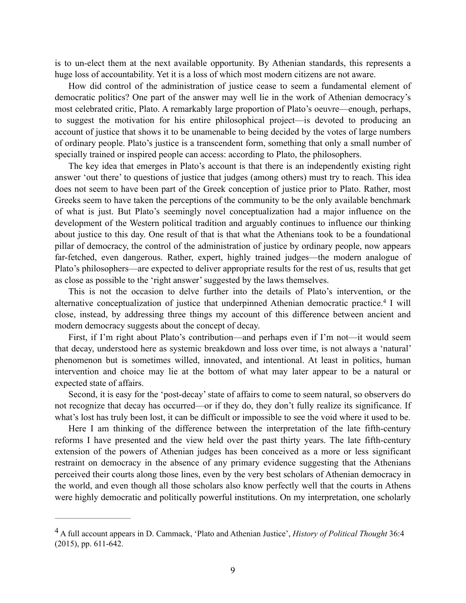is to un-elect them at the next available opportunity. By Athenian standards, this represents a huge loss of accountability. Yet it is a loss of which most modern citizens are not aware.

How did control of the administration of justice cease to seem a fundamental element of democratic politics? One part of the answer may well lie in the work of Athenian democracy's most celebrated critic, Plato. A remarkably large proportion of Plato's oeuvre—enough, perhaps, to suggest the motivation for his entire philosophical project—is devoted to producing an account of justice that shows it to be unamenable to being decided by the votes of large numbers of ordinary people. Plato's justice is a transcendent form, something that only a small number of specially trained or inspired people can access: according to Plato, the philosophers.

The key idea that emerges in Plato's account is that there is an independently existing right answer 'out there' to questions of justice that judges (among others) must try to reach. This idea does not seem to have been part of the Greek conception of justice prior to Plato. Rather, most Greeks seem to have taken the perceptions of the community to be the only available benchmark of what is just. But Plato's seemingly novel conceptualization had a major influence on the development of the Western political tradition and arguably continues to influence our thinking about justice to this day. One result of that is that what the Athenians took to be a foundational pillar of democracy, the control of the administration of justice by ordinary people, now appears far-fetched, even dangerous. Rather, expert, highly trained judges—the modern analogue of Plato's philosophers—are expected to deliver appropriate results for the rest of us, results that get as close as possible to the 'right answer' suggested by the laws themselves.

 This is not the occasion to delve further into the details of Plato's intervention, or the alternative conceptualization of justice that underpinned Athenian democratic practice.<sup>4</sup> I will close, instead, by addressing three things my account of this difference between ancient and modern democracy suggests about the concept of decay.

First, if I'm right about Plato's contribution—and perhaps even if I'm not—it would seem that decay, understood here as systemic breakdown and loss over time, is not always a 'natural' phenomenon but is sometimes willed, innovated, and intentional. At least in politics, human intervention and choice may lie at the bottom of what may later appear to be a natural or expected state of affairs.

Second, it is easy for the 'post-decay' state of affairs to come to seem natural, so observers do not recognize that decay has occurred—or if they do, they don't fully realize its significance. If what's lost has truly been lost, it can be difficult or impossible to see the void where it used to be.

Here I am thinking of the difference between the interpretation of the late fifth-century reforms I have presented and the view held over the past thirty years. The late fifth-century extension of the powers of Athenian judges has been conceived as a more or less significant restraint on democracy in the absence of any primary evidence suggesting that the Athenians perceived their courts along those lines, even by the very best scholars of Athenian democracy in the world, and even though all those scholars also know perfectly well that the courts in Athens were highly democratic and politically powerful institutions. On my interpretation, one scholarly

A full account appears in D. Cammack, 'Plato and Athenian Justice', *History of Political Thought* 36:4 4 (2015), pp. 611-642.